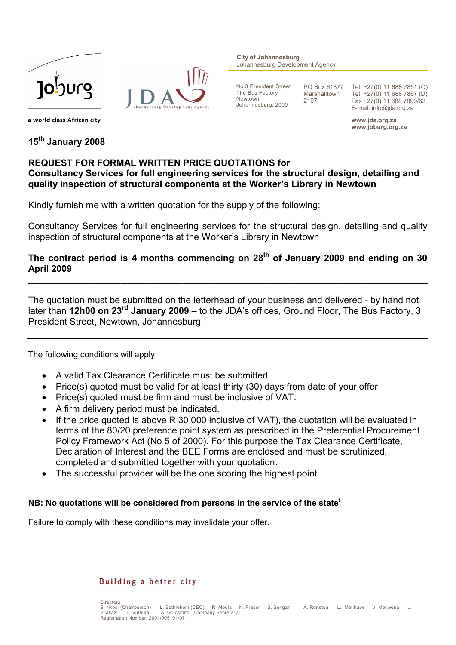



**City of Johannesburg** Johannesburg Development Agency

No 3 President Street The Bus Factory Newtown Johannesburg, 2000

PO Box 61877 Marshalltown 2107

Tel +27(0) 11 688 7851 (O) Tel +27(0) 11 688 7867 (D) Fax +27(0) 11 688 7899/63 E-mail: info@jda.org.za

**www.jda.org.za www.joburg.org.za**

a world class African city

**15th January 2008**

# **REQUEST FOR FORMAL WRITTEN PRICE QUOTATIONS for**

## **Consultancy Services for full engineering services for the structural design, detailing and quality inspection of structural components at the Worker's Library in Newtown**

Kindly furnish me with a written quotation for the supply of the following:

Consultancy Services for full engineering services for the structural design, detailing and quality inspection of structural components at the Worker's Library in Newtown

## **The contract period is 4 months commencing on 28th of January 2009 and ending on 30 April 2009**

\_\_\_\_\_\_\_\_\_\_\_\_\_\_\_\_\_\_\_\_\_\_\_\_\_\_\_\_\_\_\_\_\_\_\_\_\_\_\_\_\_\_\_\_\_\_\_\_\_\_\_\_\_\_\_\_\_\_\_\_\_\_\_\_\_\_\_\_\_\_\_\_\_\_\_\_\_\_

The quotation must be submitted on the letterhead of your business and delivered - by hand not later than **12h00 on 23rd January 2009** – to the JDA's offices, Ground Floor, The Bus Factory, 3 President Street, Newtown, Johannesburg.

The following conditions will apply:

- A valid Tax Clearance Certificate must be submitted
- Price(s) quoted must be valid for at least thirty (30) days from date of your offer.
- Price(s) quoted must be firm and must be inclusive of VAT.
- A firm delivery period must be indicated.
- If the price quoted is above R 30 000 inclusive of VAT), the quotation will be evaluated in terms of the 80/20 preference point system as prescribed in the Preferential Procurement Policy Framework Act (No 5 of 2000). For this purpose the Tax Clearance Certificate, Declaration of Interest and the BEE Forms are enclosed and must be scrutinized, completed and submitted together with your quotation.
- The successful provider will be the one scoring the highest point

## **NB: No quotations will be considered from persons in the service of the state<sup>i</sup>**

Failure to comply with these conditions may invalidate your offer.

### Building a better city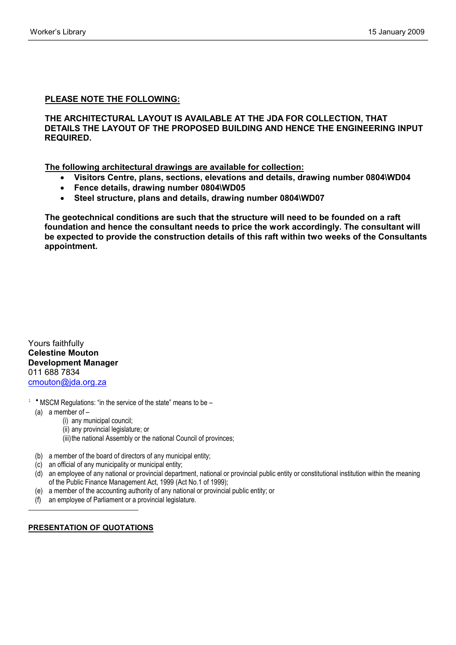### **PLEASE NOTE THE FOLLOWING:**

#### **THE ARCHITECTURAL LAYOUT IS AVAILABLE AT THE JDA FOR COLLECTION, THAT DETAILS THE LAYOUT OF THE PROPOSED BUILDING AND HENCE THE ENGINEERING INPUT REQUIRED.**

 **The following architectural drawings are available for collection:**

- **Visitors Centre, plans, sections, elevations and details, drawing number 0804\WD04**
- **Fence details, drawing number 0804\WD05**
- **Steel structure, plans and details, drawing number 0804\WD07**

 **The geotechnical conditions are such that the structure will need to be founded on a raft foundation and hence the consultant needs to price the work accordingly. The consultant will be expected to provide the construction details of this raft within two weeks of the Consultants appointment.**

Yours faithfully **Celestine Mouton Development Manager** 011 688 7834 cmouton@jda.org.za

- $1$  \* MSCM Regulations: "in the service of the state" means to be
	- (a) a member of –

 $\overline{a}$ 

- (i) any municipal council;
- (ii) any provincial legislature; or
- (iii) the national Assembly or the national Council of provinces;
- (b) a member of the board of directors of any municipal entity;
- (c) an official of any municipality or municipal entity;
- (d) an employee of any national or provincial department, national or provincial public entity or constitutional institution within the meaning of the Public Finance Management Act, 1999 (Act No.1 of 1999);
- (e) a member of the accounting authority of any national or provincial public entity; or
- (f) an employee of Parliament or a provincial legislature.

### **PRESENTATION OF QUOTATIONS**